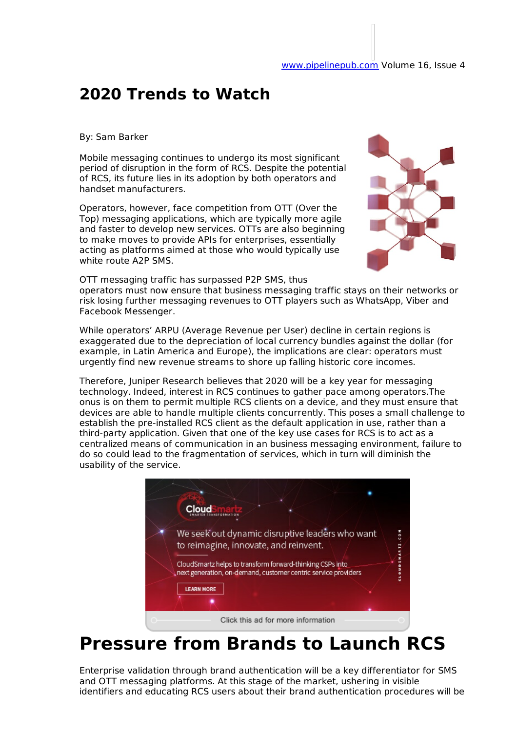#### **2020 Trends to Watch**

By: Sam Barker

Mobile messaging continues to undergo its most significant period of disruption in the form of RCS. Despite the potential of RCS, its future lies in its adoption by both operators and handset manufacturers.

Operators, however, face competition from OTT (Over the Top) messaging applications, which are typically more agile and faster to develop new services. OTTs are also beginning to make moves to provide APIs for enterprises, essentially acting as platforms aimed at those who would typically use white route A2P SMS.



OTT messaging traffic has surpassed P2P SMS, thus operators must now ensure that business messaging traffic stays on their networks or risk losing further messaging revenues to OTT players such as WhatsApp, Viber and Facebook Messenger.

While operators' ARPU (Average Revenue per User) decline in certain regions is exaggerated due to the depreciation of local currency bundles against the dollar (for example, in Latin America and Europe), the implications are clear: operators must urgently find new revenue streams to shore up falling historic core incomes.

Therefore, Juniper Research believes that 2020 will be a key year for messaging technology. Indeed, interest in RCS continues to gather pace among operators.The onus is on them to permit multiple RCS clients on a device, and they must ensure that devices are able to handle multiple clients concurrently. This poses a small challenge to establish the pre-installed RCS client as the default application in use, rather than a third-party application. Given that one of the key use cases for RCS is to act as a centralized means of communication in an business messaging environment, failure to do so could lead to the fragmentation of services, which in turn will diminish the usability of the service.



#### **Pressure from Brands to Launch RCS**

Enterprise validation through brand authentication will be a key differentiator for SMS and OTT messaging platforms. At this stage of the market, ushering in visible identifiers and educating RCS users about their brand authentication procedures will be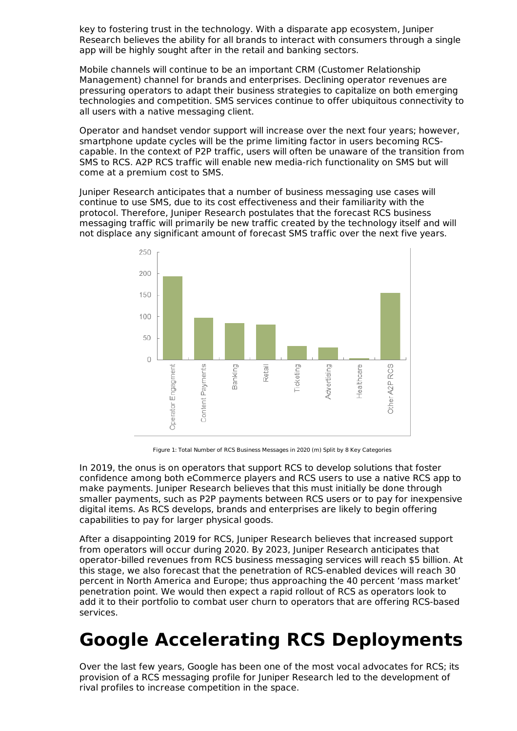key to fostering trust in the technology. With a disparate app ecosystem, Juniper Research believes the ability for all brands to interact with consumers through a single app will be highly sought after in the retail and banking sectors.

Mobile channels will continue to be an important CRM (Customer Relationship Management) channel for brands and enterprises. Declining operator revenues are pressuring operators to adapt their business strategies to capitalize on both emerging technologies and competition. SMS services continue to offer ubiquitous connectivity to all users with a native messaging client.

Operator and handset vendor support will increase over the next four years; however, smartphone update cycles will be the prime limiting factor in users becoming RCScapable. In the context of P2P traffic, users will often be unaware of the transition from SMS to RCS. A2P RCS traffic will enable new media-rich functionality on SMS but will come at a premium cost to SMS.

Juniper Research anticipates that a number of business messaging use cases will continue to use SMS, due to its cost effectiveness and their familiarity with the protocol. Therefore, Juniper Research postulates that the forecast RCS business messaging traffic will primarily be new traffic created by the technology itself and will not displace any significant amount of forecast SMS traffic over the next five years.



Figure 1: Total Number of RCS Business Messages in 2020 (m) Split by 8 Key Categories

In 2019, the onus is on operators that support RCS to develop solutions that foster confidence among both eCommerce players and RCS users to use a native RCS app to make payments. Juniper Research believes that this must initially be done through smaller payments, such as P2P payments between RCS users or to pay for inexpensive digital items. As RCS develops, brands and enterprises are likely to begin offering capabilities to pay for larger physical goods.

After a disappointing 2019 for RCS, Juniper Research believes that increased support from operators will occur during 2020. By 2023, Juniper Research anticipates that operator-billed revenues from RCS business messaging services will reach \$5 billion. At this stage, we also forecast that the penetration of RCS-enabled devices will reach 30 percent in North America and Europe; thus approaching the 40 percent 'mass market' penetration point. We would then expect a rapid rollout of RCS as operators look to add it to their portfolio to combat user churn to operators that are offering RCS-based services.

## **Google Accelerating RCS Deployments**

Over the last few years, Google has been one of the most vocal advocates for RCS; its provision of a RCS messaging profile for Juniper Research led to the development of rival profiles to increase competition in the space.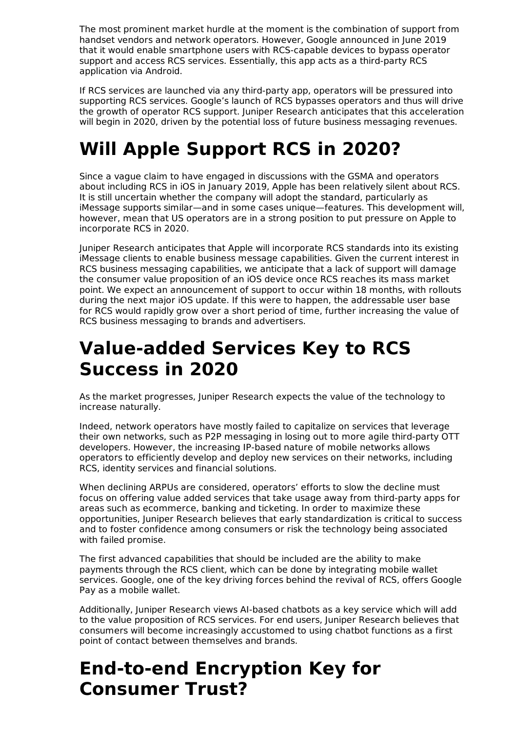The most prominent market hurdle at the moment is the combination of support from handset vendors and network operators. However, Google announced in June 2019 that it would enable smartphone users with RCS-capable devices to bypass operator support and access RCS services. Essentially, this app acts as a third-party RCS application via Android.

If RCS services are launched via any third-party app, operators will be pressured into supporting RCS services. Google's launch of RCS bypasses operators and thus will drive the growth of operator RCS support. Juniper Research anticipates that this acceleration will begin in 2020, driven by the potential loss of future business messaging revenues.

# **Will Apple Support RCS in 2020?**

Since a vague claim to have engaged in discussions with the GSMA and operators about including RCS in iOS in January 2019, Apple has been relatively silent about RCS. It is still uncertain whether the company will adopt the standard, particularly as iMessage supports similar—and in some cases unique—features. This development will, however, mean that US operators are in a strong position to put pressure on Apple to incorporate RCS in 2020.

Juniper Research anticipates that Apple will incorporate RCS standards into its existing iMessage clients to enable business message capabilities. Given the current interest in RCS business messaging capabilities, we anticipate that a lack of support will damage the consumer value proposition of an iOS device once RCS reaches its mass market point. We expect an announcement of support to occur within 18 months, with rollouts during the next major iOS update. If this were to happen, the addressable user base for RCS would rapidly grow over a short period of time, further increasing the value of RCS business messaging to brands and advertisers.

## **Value-added Services Key to RCS Success in 2020**

As the market progresses, Juniper Research expects the value of the technology to increase naturally.

Indeed, network operators have mostly failed to capitalize on services that leverage their own networks, such as P2P messaging in losing out to more agile third-party OTT developers. However, the increasing IP-based nature of mobile networks allows operators to efficiently develop and deploy new services on their networks, including RCS, identity services and financial solutions.

When declining ARPUs are considered, operators' efforts to slow the decline must focus on offering value added services that take usage away from third-party apps for areas such as ecommerce, banking and ticketing. In order to maximize these opportunities, Juniper Research believes that early standardization is critical to success and to foster confidence among consumers or risk the technology being associated with failed promise.

The first advanced capabilities that should be included are the ability to make payments through the RCS client, which can be done by integrating mobile wallet services. Google, one of the key driving forces behind the revival of RCS, offers Google Pay as a mobile wallet.

Additionally, Juniper Research views AI-based chatbots as a key service which will add to the value proposition of RCS services. For end users, Juniper Research believes that consumers will become increasingly accustomed to using chatbot functions as a first point of contact between themselves and brands.

## **End-to-end Encryption Key for Consumer Trust?**